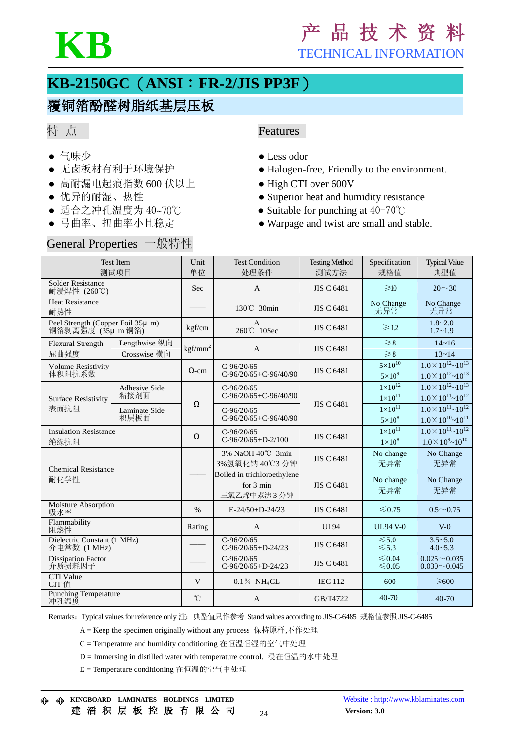

# **KB** <sup>产</sup> <sup>品</sup> <sup>技</sup> <sup>术</sup> <sup>资</sup> <sup>料</sup>

TECHNICAL INFORMATION

## **KB-2150GC**(**ANSI**:**FR-2/JIS PP3F**)

### 覆铜箔酚醛树脂纸基层压板

#### 特 点

- 
- 
- 高耐漏电起痕指数 600 伏以上 High CTI over 600V
- 
- 
- 

# General Properties 一般特性

#### Features

- 气味少 Less odor
- 无卤板材有利于环境保护 → Halogen-free, Friendly to the environment.
	-
- 优异的耐湿、热性 <br>● Superior heat and humidity resistance
- 适合之冲孔温度为 40~70℃ → Suitable for punching at 40-70℃
- 弓曲率、扭曲率小且稳定 → Warpage and twist are small and stable.

| <b>Test Item</b><br>测试项目                               |                               | Unit<br>单位   | <b>Test Condition</b><br>处理条件                                    | <b>Testing Method</b><br>测试方法 | Specification<br>规格值                   | <b>Typical Value</b><br>典型值                                       |
|--------------------------------------------------------|-------------------------------|--------------|------------------------------------------------------------------|-------------------------------|----------------------------------------|-------------------------------------------------------------------|
| <b>Solder Resistance</b><br>耐浸焊性 (260℃)                |                               | Sec          | $\mathsf{A}$                                                     | <b>JIS C 6481</b>             | $\geq 10$                              | $20 \sim 30$                                                      |
| <b>Heat Resistance</b><br>耐热性                          |                               |              | 130°C 30min                                                      | <b>JIS C 6481</b>             | No Change<br>无异常                       | No Change<br>无异常                                                  |
| Peel Strength (Copper Foil 35µ m)<br>铜箔剥离强度 (35μ m 铜箔) |                               | kgf/cm       | $\mathbf{A}$<br>260℃ 10Sec                                       | <b>JIS C 6481</b>             | $\geqslant$ 12                         | $1.8 - 2.0$<br>$1.7 - 1.9$                                        |
| <b>Flexural Strength</b><br>屈曲强度                       | Lengthwise 纵向<br>Crosswise 横向 | $kgf/mm^2$   | $\overline{A}$                                                   | <b>JIS C 6481</b>             | $\geq 8$<br>$\geq 8$                   | $14 - 16$<br>$13 - 14$                                            |
| <b>Volume Resistivity</b><br>体积阻抗系数                    |                               | $\Omega$ -cm | $C-96/20/65$<br>$C-96/20/65+C-96/40/90$                          | <b>JIS C 6481</b>             | $5\times10^{10}$<br>$5\times10^9$      | $1.0\times10^{12}\sim10^{13}$<br>$1.0\times10^{12}\sim10^{13}$    |
| <b>Surface Resistivity</b><br>表面抗阻                     | <b>Adhesive Side</b><br>粘接剂面  | Ω            | $C-96/20/65$<br>$C-96/20/65+C-96/40/90$                          | <b>JIS C 6481</b>             | $1\times10^{12}$<br>$1 \times 10^{11}$ | $1.0\times10^{12}\sim10^{13}$<br>$1.0\times10^{11}\sim10^{12}$    |
|                                                        | Laminate Side<br>积层板面         |              | $C-96/20/65$<br>$C-96/20/65+C-96/40/90$                          |                               | $1\times10^{11}$<br>$5\times10^8$      | $1.0 \times 10^{11}$ ~ $10^{12}$<br>$1.0\times10^{10}\sim10^{11}$ |
| <b>Insulation Resistance</b><br>绝缘抗阻                   |                               | Ω            | $C-96/20/65$<br>$C-96/20/65+D-2/100$                             | <b>JIS C 6481</b>             | $1 \times 10^{11}$<br>$1\times10^8$    | $1.0\times10^{11}\sim10^{12}$<br>$1.0\times10^{9}$ ~ $10^{10}$    |
| <b>Chemical Resistance</b><br>耐化学性                     |                               |              | 3% NaOH 40℃ 3min<br>3%氢氧化钠 40℃3 分钟                               | <b>JIS C 6481</b>             | No change<br>无异常                       | No Change<br>无异常                                                  |
|                                                        |                               |              | Boiled in trichloroethylene<br>for $3 \text{ min}$<br>三氯乙烯中煮沸3分钟 | <b>JIS C 6481</b>             | No change<br>无异常                       | No Change<br>无异常                                                  |
| Moisture Absorption<br>吸水率                             |                               | $\%$         | $E-24/50+D-24/23$                                                | <b>JIS C 6481</b>             | $\leq 0.75$                            | $0.5 \sim 0.75$                                                   |
| Flammability<br>阻燃性                                    |                               | Rating       | $\mathbf{A}$                                                     | <b>UL94</b>                   | <b>UL94 V-0</b>                        | $V-0$                                                             |
| Dielectric Constant (1 MHz)<br>介电常数 (1 MHz)            |                               |              | $C-96/20/65$<br>$C-96/20/65+D-24/23$                             | <b>JIS C 6481</b>             | $≤ 5.0$<br>$\leq 5.3$                  | $3.5 - 5.0$<br>$4.0 - 5.3$                                        |
| <b>Dissipation Factor</b><br>介质损耗因子                    |                               |              | $C-96/20/65$<br>$C-96/20/65+D-24/23$                             | <b>JIS C 6481</b>             | ≤ $0.04$<br>≤ $0.05$                   | $0.025 - 0.035$<br>$0.030 - 0.045$                                |
| <b>CTI</b> Value<br>CIT 值                              |                               | V            | $0.1\%$ NH <sub>4</sub> CL                                       | <b>IEC 112</b>                | 600                                    | $\geqslant 600$                                                   |
| <b>Punching Temperature</b><br>冲孔温度                    |                               | $^{\circ}$ C | $\overline{A}$                                                   | GB/T4722                      | $40 - 70$                              | 40-70                                                             |

Remarks: Typical values for reference only 注: 典型值只作参考 Stand values according to JIS-C-6485 规格值参照 JIS-C-6485

A = Keep the specimen originally without any process 保持原样,不作处理

C = Temperature and humidity conditioning 在恒温恒湿的空气中处理

D = Immersing in distilled water with temperature control. 浸在恒温的水中处理

E = Temperature conditioning 在恒温的空气中处理